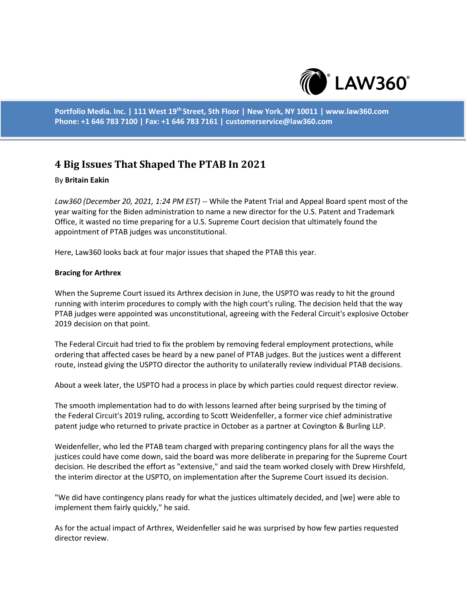

**Portfolio Media. Inc. | 111 West 19th Street, 5th Floor | New York, NY 10011 | www.law360.com Phone: +1 646 783 7100 | Fax: +1 646 783 7161 | customerservice@law360.com**

# **4 Big Issues That Shaped The PTAB In 2021**

### By **Britain Eakin**

*Law360 (December 20, 2021, 1:24 PM EST)* -- While the Patent Trial and Appeal Board spent most of the year waiting for the Biden administration to name a new director for the U.S. Patent and Trademark Office, it wasted no time preparing for a U.S. Supreme Court decision that ultimately found the appointment of PTAB judges was unconstitutional.

Here, Law360 looks back at four major issues that shaped the PTAB this year.

### **Bracing for Arthrex**

When the Supreme Court issued its Arthrex decision in June, the USPTO was ready to hit the ground running with interim procedures to comply with the high court's ruling. The decision held that the way PTAB judges were appointed was unconstitutional, agreeing with the Federal Circuit's explosive October 2019 decision on that point.

The Federal Circuit had tried to fix the problem by removing federal employment protections, while ordering that affected cases be heard by a new panel of PTAB judges. But the justices went a different route, instead giving the USPTO director the authority to unilaterally review individual PTAB decisions.

About a week later, the USPTO had a process in place by which parties could request director review.

The smooth implementation had to do with lessons learned after being surprised by the timing of the Federal Circuit's 2019 ruling, according to Scott Weidenfeller, a former vice chief administrative patent judge who returned to private practice in October as a partner at Covington & Burling LLP.

Weidenfeller, who led the PTAB team charged with preparing contingency plans for all the ways the justices could have come down, said the board was more deliberate in preparing for the Supreme Court decision. He described the effort as "extensive," and said the team worked closely with Drew Hirshfeld, the interim director at the USPTO, on implementation after the Supreme Court issued its decision.

"We did have contingency plans ready for what the justices ultimately decided, and [we] were able to implement them fairly quickly," he said.

As for the actual impact of Arthrex, Weidenfeller said he was surprised by how few parties requested director review.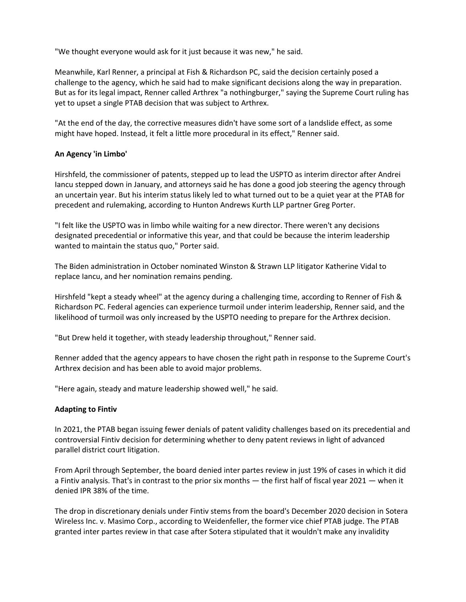"We thought everyone would ask for it just because it was new," he said.

Meanwhile, Karl Renner, a principal at Fish & Richardson PC, said the decision certainly posed a challenge to the agency, which he said had to make significant decisions along the way in preparation. But as for its legal impact, Renner called Arthrex "a nothingburger," saying the Supreme Court ruling has yet to upset a single PTAB decision that was subject to Arthrex.

"At the end of the day, the corrective measures didn't have some sort of a landslide effect, as some might have hoped. Instead, it felt a little more procedural in its effect," Renner said.

# **An Agency 'in Limbo'**

Hirshfeld, the commissioner of patents, stepped up to lead the USPTO as interim director after Andrei Iancu stepped down in January, and attorneys said he has done a good job steering the agency through an uncertain year. But his interim status likely led to what turned out to be a quiet year at the PTAB for precedent and rulemaking, according to Hunton Andrews Kurth LLP partner Greg Porter.

"I felt like the USPTO was in limbo while waiting for a new director. There weren't any decisions designated precedential or informative this year, and that could be because the interim leadership wanted to maintain the status quo," Porter said.

The Biden administration in October nominated Winston & Strawn LLP litigator Katherine Vidal to replace Iancu, and her nomination remains pending.

Hirshfeld "kept a steady wheel" at the agency during a challenging time, according to Renner of Fish & Richardson PC. Federal agencies can experience turmoil under interim leadership, Renner said, and the likelihood of turmoil was only increased by the USPTO needing to prepare for the Arthrex decision.

"But Drew held it together, with steady leadership throughout," Renner said.

Renner added that the agency appears to have chosen the right path in response to the Supreme Court's Arthrex decision and has been able to avoid major problems.

"Here again, steady and mature leadership showed well," he said.

# **Adapting to Fintiv**

In 2021, the PTAB began issuing fewer denials of patent validity challenges based on its precedential and controversial Fintiv decision for determining whether to deny patent reviews in light of advanced parallel district court litigation.

From April through September, the board denied inter partes review in just 19% of cases in which it did a Fintiv analysis. That's in contrast to the prior six months — the first half of fiscal year 2021 — when it denied IPR 38% of the time.

The drop in discretionary denials under Fintiv stems from the board's December 2020 decision in Sotera Wireless Inc. v. Masimo Corp., according to Weidenfeller, the former vice chief PTAB judge. The PTAB granted inter partes review in that case after Sotera stipulated that it wouldn't make any invalidity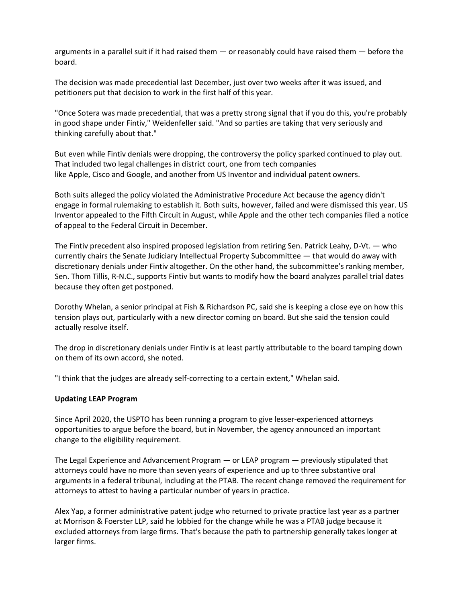arguments in a parallel suit if it had raised them — or reasonably could have raised them — before the board.

The decision was made precedential last December, just over two weeks after it was issued, and petitioners put that decision to work in the first half of this year.

"Once Sotera was made precedential, that was a pretty strong signal that if you do this, you're probably in good shape under Fintiv," Weidenfeller said. "And so parties are taking that very seriously and thinking carefully about that."

But even while Fintiv denials were dropping, the controversy the policy sparked continued to play out. That included two legal challenges in district court, one from tech companies like Apple, Cisco and Google, and another from US Inventor and individual patent owners.

Both suits alleged the policy violated the Administrative Procedure Act because the agency didn't engage in formal rulemaking to establish it. Both suits, however, failed and were dismissed this year. US Inventor appealed to the Fifth Circuit in August, while Apple and the other tech companies filed a notice of appeal to the Federal Circuit in December.

The Fintiv precedent also inspired proposed legislation from retiring Sen. Patrick Leahy, D-Vt. — who currently chairs the Senate Judiciary Intellectual Property Subcommittee — that would do away with discretionary denials under Fintiv altogether. On the other hand, the subcommittee's ranking member, Sen. Thom Tillis, R-N.C., supports Fintiv but wants to modify how the board analyzes parallel trial dates because they often get postponed.

Dorothy Whelan, a senior principal at Fish & Richardson PC, said she is keeping a close eye on how this tension plays out, particularly with a new director coming on board. But she said the tension could actually resolve itself.

The drop in discretionary denials under Fintiv is at least partly attributable to the board tamping down on them of its own accord, she noted.

"I think that the judges are already self-correcting to a certain extent," Whelan said.

# **Updating LEAP Program**

Since April 2020, the USPTO has been running a program to give lesser-experienced attorneys opportunities to argue before the board, but in November, the agency announced an important change to the eligibility requirement.

The Legal Experience and Advancement Program — or LEAP program — previously stipulated that attorneys could have no more than seven years of experience and up to three substantive oral arguments in a federal tribunal, including at the PTAB. The recent change removed the requirement for attorneys to attest to having a particular number of years in practice.

Alex Yap, a former administrative patent judge who returned to private practice last year as a partner at Morrison & Foerster LLP, said he lobbied for the change while he was a PTAB judge because it excluded attorneys from large firms. That's because the path to partnership generally takes longer at larger firms.